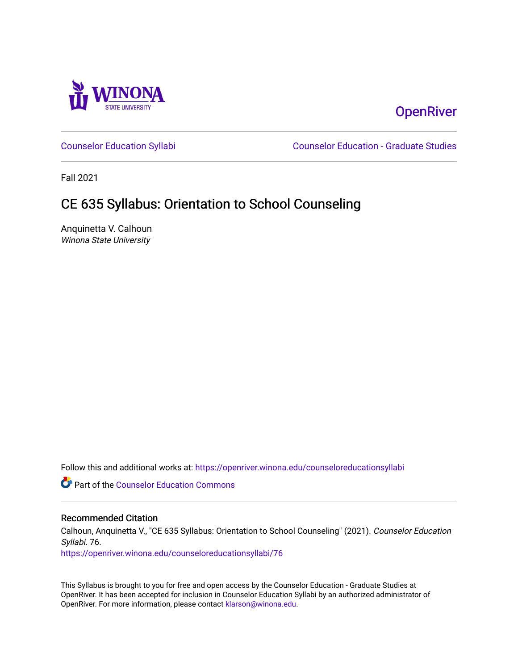

# **OpenRiver**

[Counselor Education Syllabi](https://openriver.winona.edu/counseloreducationsyllabi) [Counselor Education - Graduate Studies](https://openriver.winona.edu/counseloreducation) 

Fall 2021

# CE 635 Syllabus: Orientation to School Counseling

Anquinetta V. Calhoun Winona State University

Follow this and additional works at: [https://openriver.winona.edu/counseloreducationsyllabi](https://openriver.winona.edu/counseloreducationsyllabi?utm_source=openriver.winona.edu%2Fcounseloreducationsyllabi%2F76&utm_medium=PDF&utm_campaign=PDFCoverPages)

Part of the [Counselor Education Commons](http://network.bepress.com/hgg/discipline/1278?utm_source=openriver.winona.edu%2Fcounseloreducationsyllabi%2F76&utm_medium=PDF&utm_campaign=PDFCoverPages) 

#### Recommended Citation

Calhoun, Anquinetta V., "CE 635 Syllabus: Orientation to School Counseling" (2021). Counselor Education Syllabi. 76.

[https://openriver.winona.edu/counseloreducationsyllabi/76](https://openriver.winona.edu/counseloreducationsyllabi/76?utm_source=openriver.winona.edu%2Fcounseloreducationsyllabi%2F76&utm_medium=PDF&utm_campaign=PDFCoverPages) 

This Syllabus is brought to you for free and open access by the Counselor Education - Graduate Studies at OpenRiver. It has been accepted for inclusion in Counselor Education Syllabi by an authorized administrator of OpenRiver. For more information, please contact [klarson@winona.edu](mailto:klarson@winona.edu).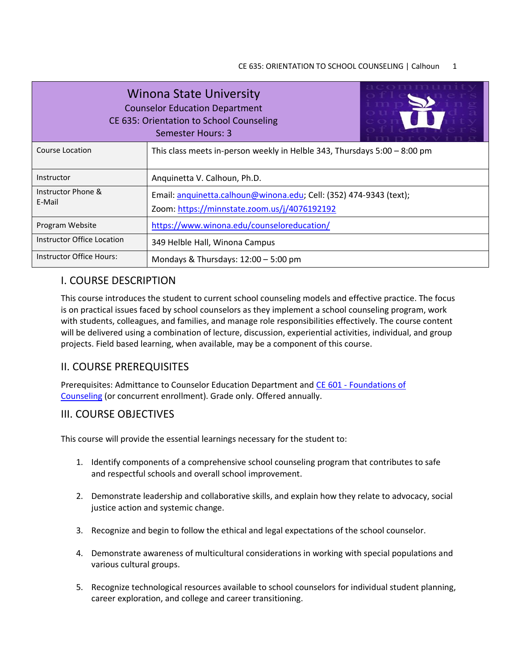| <b>Winona State University</b><br><b>Counselor Education Department</b><br>CE 635: Orientation to School Counseling<br>Semester Hours: 3 |                                                                                                                    |  |  |  |
|------------------------------------------------------------------------------------------------------------------------------------------|--------------------------------------------------------------------------------------------------------------------|--|--|--|
| <b>Course Location</b>                                                                                                                   | This class meets in-person weekly in Helble 343, Thursdays $5:00 - 8:00$ pm                                        |  |  |  |
| Instructor                                                                                                                               | Anquinetta V. Calhoun, Ph.D.                                                                                       |  |  |  |
| Instructor Phone &<br>E-Mail                                                                                                             | Email: anquinetta.calhoun@winona.edu; Cell: (352) 474-9343 (text);<br>Zoom: https://minnstate.zoom.us/j/4076192192 |  |  |  |
| Program Website                                                                                                                          | https://www.winona.edu/counseloreducation/                                                                         |  |  |  |
| Instructor Office Location                                                                                                               | 349 Helble Hall, Winona Campus                                                                                     |  |  |  |
| Instructor Office Hours:                                                                                                                 | Mondays & Thursdays: $12:00 - 5:00$ pm                                                                             |  |  |  |

# I. COURSE DESCRIPTION

This course introduces the student to current school counseling models and effective practice. The focus is on practical issues faced by school counselors as they implement a school counseling program, work with students, colleagues, and families, and manage role responsibilities effectively. The course content will be delivered using a combination of lecture, discussion, experiential activities, individual, and group projects. Field based learning, when available, may be a component of this course.

# II. COURSE PREREQUISITES

Prerequisites: Admittance to Counselor Education Department and CE 601 - [Foundations of](http://catalog.winona.edu/preview_program.php?catoid=17&poid=3391#tt8239)  [Counseling](http://catalog.winona.edu/preview_program.php?catoid=17&poid=3391#tt8239) (or concurrent enrollment). Grade only. Offered annually.

# III. COURSE OBJECTIVES

This course will provide the essential learnings necessary for the student to:

- 1. Identify components of a comprehensive school counseling program that contributes to safe and respectful schools and overall school improvement.
- 2. Demonstrate leadership and collaborative skills, and explain how they relate to advocacy, social justice action and systemic change.
- 3. Recognize and begin to follow the ethical and legal expectations of the school counselor.
- 4. Demonstrate awareness of multicultural considerations in working with special populations and various cultural groups.
- 5. Recognize technological resources available to school counselors for individual student planning, career exploration, and college and career transitioning.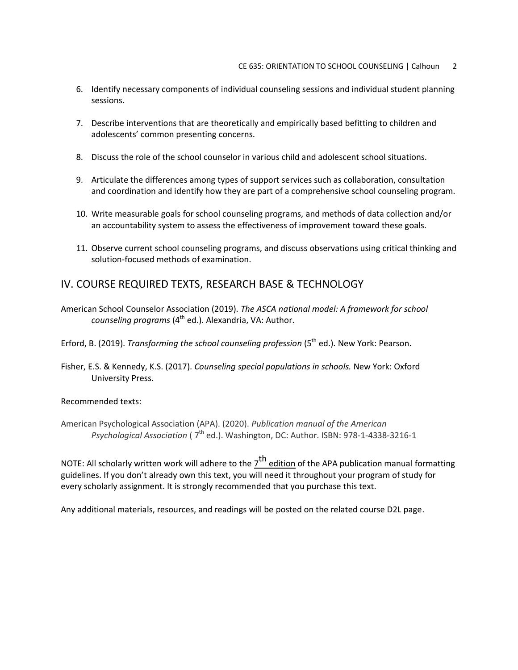- 6. Identify necessary components of individual counseling sessions and individual student planning sessions.
- 7. Describe interventions that are theoretically and empirically based befitting to children and adolescents' common presenting concerns.
- 8. Discuss the role of the school counselor in various child and adolescent school situations.
- 9. Articulate the differences among types of support services such as collaboration, consultation and coordination and identify how they are part of a comprehensive school counseling program.
- 10. Write measurable goals for school counseling programs, and methods of data collection and/or an accountability system to assess the effectiveness of improvement toward these goals.
- 11. Observe current school counseling programs, and discuss observations using critical thinking and solution-focused methods of examination.

# IV. COURSE REQUIRED TEXTS, RESEARCH BASE & TECHNOLOGY

- American School Counselor Association (2019). *The ASCA national model: A framework for school counseling programs* (4<sup>th</sup> ed.). Alexandria, VA: Author.
- Erford, B. (2019). *Transforming the school counseling profession* (5<sup>th</sup> ed.). New York: Pearson.
- Fisher, E.S. & Kennedy, K.S. (2017). *Counseling special populations in schools.* New York: Oxford University Press.

#### Recommended texts:

American Psychological Association (APA). (2020). *Publication manual of the American Psychological Association* ( $7<sup>th</sup>$  ed.). Washington, DC: Author. ISBN: 978-1-4338-3216-1

NOTE: All scholarly written work will adhere to the  $7^{\text{th}}$  edition of the APA publication manual formatting guidelines. If you don't already own this text, you will need it throughout your program of study for every scholarly assignment. It is strongly recommended that you purchase this text.

Any additional materials, resources, and readings will be posted on the related course D2L page.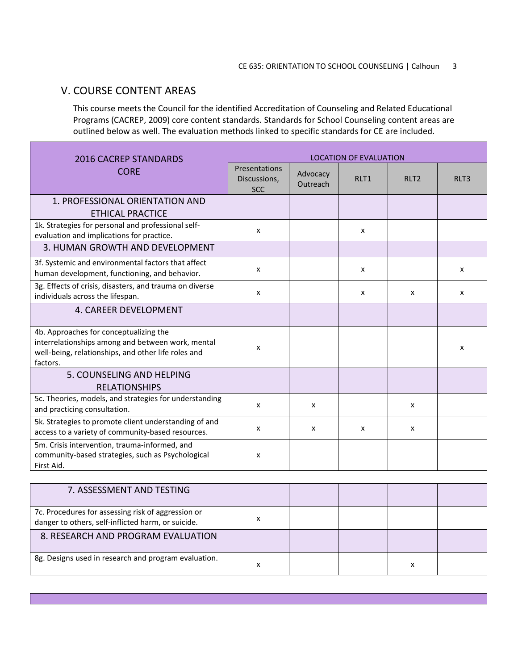## V. COURSE CONTENT AREAS

This course meets the Council for the identified Accreditation of Counseling and Related Educational Programs (CACREP, 2009) core content standards. Standards for School Counseling content areas are outlined below as well. The evaluation methods linked to specific standards for CE are included.

| 2016 CACREP STANDARDS                                                                                                                                          | <b>LOCATION OF EVALUATION</b>               |                      |      |              |      |
|----------------------------------------------------------------------------------------------------------------------------------------------------------------|---------------------------------------------|----------------------|------|--------------|------|
| <b>CORE</b>                                                                                                                                                    | Presentations<br>Discussions,<br><b>SCC</b> | Advocacy<br>Outreach | RIT1 | RIT2         | RLT3 |
| 1. PROFESSIONAL ORIENTATION AND<br><b>ETHICAL PRACTICE</b>                                                                                                     |                                             |                      |      |              |      |
| 1k. Strategies for personal and professional self-<br>evaluation and implications for practice.                                                                | X                                           |                      | x    |              |      |
| 3. HUMAN GROWTH AND DEVELOPMENT                                                                                                                                |                                             |                      |      |              |      |
| 3f. Systemic and environmental factors that affect<br>human development, functioning, and behavior.                                                            | x                                           |                      | x    |              | x    |
| 3g. Effects of crisis, disasters, and trauma on diverse<br>individuals across the lifespan.                                                                    | X                                           |                      | x    | $\mathsf{x}$ | x    |
| 4. CAREER DEVELOPMENT                                                                                                                                          |                                             |                      |      |              |      |
| 4b. Approaches for conceptualizing the<br>interrelationships among and between work, mental<br>well-being, relationships, and other life roles and<br>factors. | x                                           |                      |      |              | x    |
| 5. COUNSELING AND HELPING<br><b>RELATIONSHIPS</b>                                                                                                              |                                             |                      |      |              |      |
| 5c. Theories, models, and strategies for understanding<br>and practicing consultation.                                                                         | x                                           | x                    |      | X            |      |
| 5k. Strategies to promote client understanding of and<br>access to a variety of community-based resources.                                                     | x                                           | x                    | x    | X            |      |
| 5m. Crisis intervention, trauma-informed, and<br>community-based strategies, such as Psychological<br>First Aid.                                               | x                                           |                      |      |              |      |

| 7. ASSESSMENT AND TESTING                                                                                |   |  |   |  |
|----------------------------------------------------------------------------------------------------------|---|--|---|--|
| 7c. Procedures for assessing risk of aggression or<br>danger to others, self-inflicted harm, or suicide. |   |  |   |  |
| 8. RESEARCH AND PROGRAM EVALUATION                                                                       |   |  |   |  |
| 8g. Designs used in research and program evaluation.                                                     | л |  | x |  |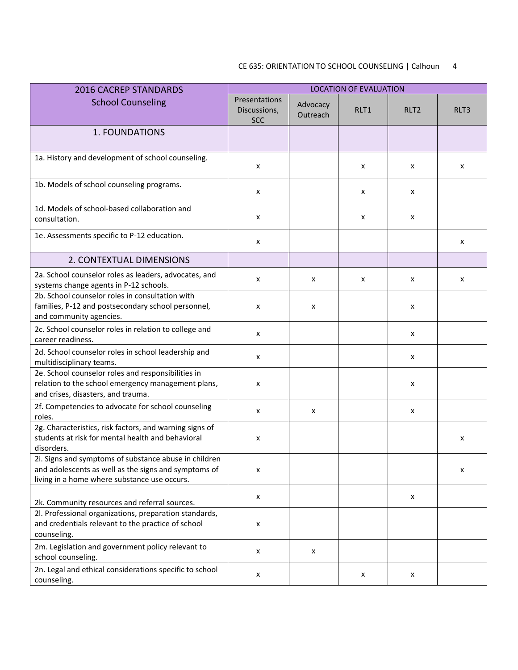## CE 635: ORIENTATION TO SCHOOL COUNSELING | Calhoun 4

| <b>2016 CACREP STANDARDS</b>                                                                                                                                  | <b>LOCATION OF EVALUATION</b>                      |                      |      |                  |      |
|---------------------------------------------------------------------------------------------------------------------------------------------------------------|----------------------------------------------------|----------------------|------|------------------|------|
| <b>School Counseling</b>                                                                                                                                      | <b>Presentations</b><br>Discussions,<br><b>SCC</b> | Advocacy<br>Outreach | RLT1 | RLT <sub>2</sub> | RLT3 |
| <b>1. FOUNDATIONS</b>                                                                                                                                         |                                                    |                      |      |                  |      |
| 1a. History and development of school counseling.                                                                                                             | X                                                  |                      | x    | x                | x    |
| 1b. Models of school counseling programs.                                                                                                                     | X                                                  |                      | x    | x                |      |
| 1d. Models of school-based collaboration and<br>consultation.                                                                                                 | x                                                  |                      | x    | x                |      |
| 1e. Assessments specific to P-12 education.                                                                                                                   | X                                                  |                      |      |                  | x    |
| 2. CONTEXTUAL DIMENSIONS                                                                                                                                      |                                                    |                      |      |                  |      |
| 2a. School counselor roles as leaders, advocates, and<br>systems change agents in P-12 schools.                                                               | x                                                  | х                    | x    | x                | x    |
| 2b. School counselor roles in consultation with<br>families, P-12 and postsecondary school personnel,<br>and community agencies.                              | x                                                  | x                    |      | x                |      |
| 2c. School counselor roles in relation to college and<br>career readiness.                                                                                    | $\pmb{\times}$                                     |                      |      | x                |      |
| 2d. School counselor roles in school leadership and<br>multidisciplinary teams.                                                                               | X                                                  |                      |      | x                |      |
| 2e. School counselor roles and responsibilities in<br>relation to the school emergency management plans,<br>and crises, disasters, and trauma.                | x                                                  |                      |      | x                |      |
| 2f. Competencies to advocate for school counseling<br>roles.                                                                                                  | x                                                  | х                    |      | X                |      |
| 2g. Characteristics, risk factors, and warning signs of<br>students at risk for mental health and behavioral<br>disorders.                                    | X                                                  |                      |      |                  | x    |
| 2i. Signs and symptoms of substance abuse in children<br>and adolescents as well as the signs and symptoms of<br>living in a home where substance use occurs. | x                                                  |                      |      |                  | х    |
| 2k. Community resources and referral sources.                                                                                                                 | x                                                  |                      |      | x                |      |
| 2l. Professional organizations, preparation standards,<br>and credentials relevant to the practice of school<br>counseling.                                   | $\pmb{\times}$                                     |                      |      |                  |      |
| 2m. Legislation and government policy relevant to<br>school counseling.                                                                                       | X                                                  | X                    |      |                  |      |
| 2n. Legal and ethical considerations specific to school<br>counseling.                                                                                        | X                                                  |                      | x    | x                |      |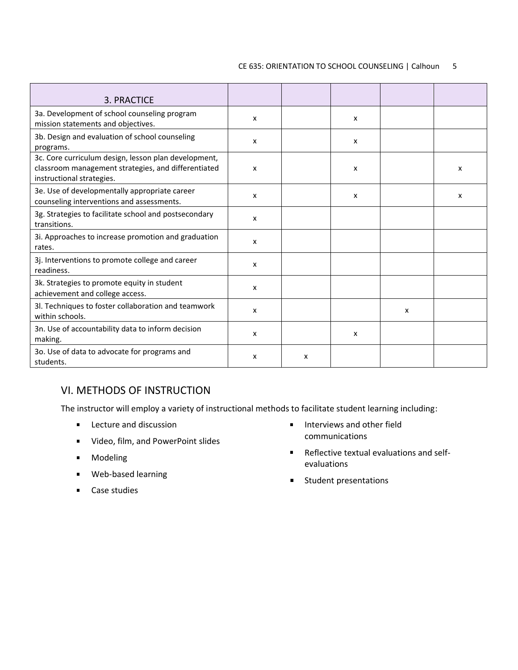#### CE 635: ORIENTATION TO SCHOOL COUNSELING | Calhoun 5

| 3. PRACTICE                                                                                                                              |   |   |   |   |   |
|------------------------------------------------------------------------------------------------------------------------------------------|---|---|---|---|---|
| 3a. Development of school counseling program<br>mission statements and objectives.                                                       | x |   | x |   |   |
| 3b. Design and evaluation of school counseling<br>programs.                                                                              | x |   | x |   |   |
| 3c. Core curriculum design, lesson plan development,<br>classroom management strategies, and differentiated<br>instructional strategies. | x |   | X |   | x |
| 3e. Use of developmentally appropriate career<br>counseling interventions and assessments.                                               | x |   | X |   | x |
| 3g. Strategies to facilitate school and postsecondary<br>transitions.                                                                    | x |   |   |   |   |
| 3i. Approaches to increase promotion and graduation<br>rates.                                                                            | x |   |   |   |   |
| 3j. Interventions to promote college and career<br>readiness.                                                                            | x |   |   |   |   |
| 3k. Strategies to promote equity in student<br>achievement and college access.                                                           | x |   |   |   |   |
| 3l. Techniques to foster collaboration and teamwork<br>within schools.                                                                   | x |   |   | x |   |
| 3n. Use of accountability data to inform decision<br>making.                                                                             | x |   | X |   |   |
| 30. Use of data to advocate for programs and<br>students.                                                                                | x | x |   |   |   |

# VI. METHODS OF INSTRUCTION

The instructor will employ a variety of instructional methods to facilitate student learning including:

- **Lecture and discussion**
- **UPER 19 THEO.** Video, film, and PowerPoint slides
- **n** Modeling
- **Web-based learning**
- **Case studies**
- $\blacksquare$  Interviews and other field communications
- Reflective textual evaluations and selfevaluations
- **Student presentations**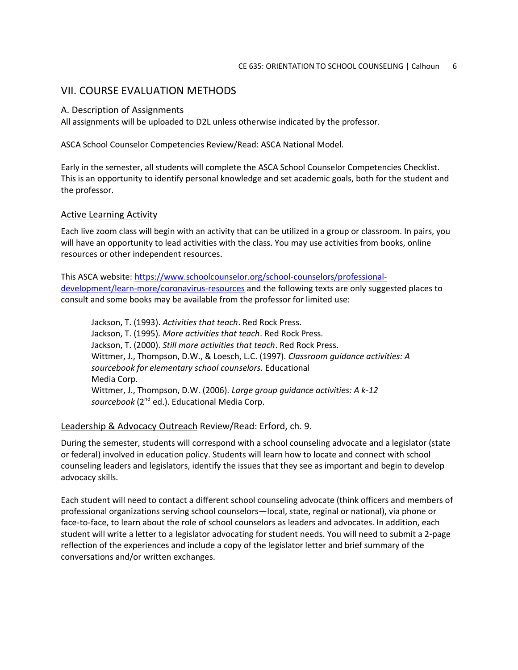## VII. COURSE EVALUATION METHODS

#### A. Description of Assignments

All assignments will be uploaded to D2L unless otherwise indicated by the professor.

#### ASCA School Counselor Competencies Review/Read: ASCA National Model.

Early in the semester, all students will complete the ASCA School Counselor Competencies Checklist. This is an opportunity to identify personal knowledge and set academic goals, both for the student and the professor.

#### Active Learning Activity

Each live zoom class will begin with an activity that can be utilized in a group or classroom. In pairs, you will have an opportunity to lead activities with the class. You may use activities from books, online resources or other independent resources.

This ASCA website: [https://www.schoolcounselor.org/school-counselors/professional](https://www.schoolcounselor.org/school-counselors/professional-development/learn-more/coronavirus-resources)[development/learn-more/coronavirus-resources](https://www.schoolcounselor.org/school-counselors/professional-development/learn-more/coronavirus-resources) and the following texts are only suggested places to consult and some books may be available from the professor for limited use:

Jackson, T. (1993). *Activities that teach*. Red Rock Press. Jackson, T. (1995). *More activities that teach*. Red Rock Press. Jackson, T. (2000). *Still more activities that teach*. Red Rock Press. Wittmer, J., Thompson, D.W., & Loesch, L.C. (1997). *Classroom guidance activities: A sourcebook for elementary school counselors.* Educational Media Corp. Wittmer, J., Thompson, D.W. (2006). *Large group guidance activities: A k-12*  sourcebook (2<sup>nd</sup> ed.). Educational Media Corp.

#### Leadership & Advocacy Outreach Review/Read: Erford, ch. 9.

During the semester, students will correspond with a school counseling advocate and a legislator (state or federal) involved in education policy. Students will learn how to locate and connect with school counseling leaders and legislators, identify the issues that they see as important and begin to develop advocacy skills.

Each student will need to contact a different school counseling advocate (think officers and members of professional organizations serving school counselors—local, state, reginal or national), via phone or face-to-face, to learn about the role of school counselors as leaders and advocates. In addition, each student will write a letter to a legislator advocating for student needs. You will need to submit a 2-page reflection of the experiences and include a copy of the legislator letter and brief summary of the conversations and/or written exchanges.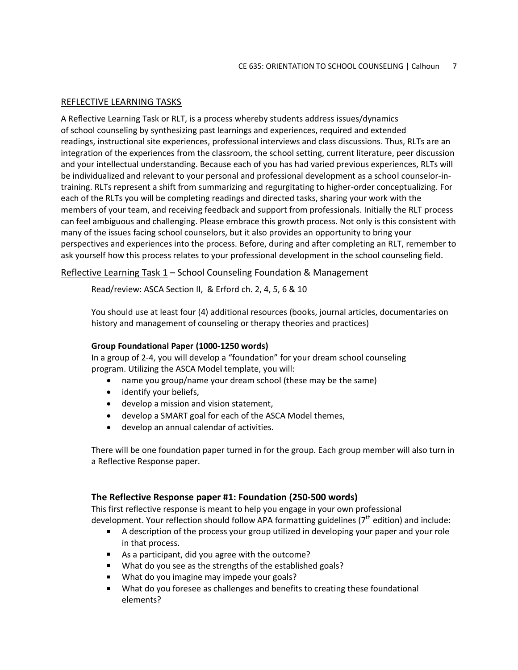### REFLECTIVE LEARNING TASKS

A Reflective Learning Task or RLT, is a process whereby students address issues/dynamics of school counseling by synthesizing past learnings and experiences, required and extended readings, instructional site experiences, professional interviews and class discussions. Thus, RLTs are an integration of the experiences from the classroom, the school setting, current literature, peer discussion and your intellectual understanding. Because each of you has had varied previous experiences, RLTs will be individualized and relevant to your personal and professional development as a school counselor-intraining. RLTs represent a shift from summarizing and regurgitating to higher-order conceptualizing. For each of the RLTs you will be completing readings and directed tasks, sharing your work with the members of your team, and receiving feedback and support from professionals. Initially the RLT process can feel ambiguous and challenging. Please embrace this growth process. Not only is this consistent with many of the issues facing school counselors, but it also provides an opportunity to bring your perspectives and experiences into the process. Before, during and after completing an RLT, remember to ask yourself how this process relates to your professional development in the school counseling field.

Reflective Learning Task 1 – School Counseling Foundation & Management

Read/review: ASCA Section II, & Erford ch. 2, 4, 5, 6 & 10

You should use at least four (4) additional resources (books, journal articles, documentaries on history and management of counseling or therapy theories and practices)

#### **Group Foundational Paper (1000-1250 words)**

In a group of 2-4, you will develop a "foundation" for your dream school counseling program. Utilizing the ASCA Model template, you will:

- name you group/name your dream school (these may be the same)
- identify your beliefs,
- develop a mission and vision statement,
- develop a SMART goal for each of the ASCA Model themes,
- develop an annual calendar of activities.

There will be one foundation paper turned in for the group. Each group member will also turn in a Reflective Response paper.

#### **The Reflective Response paper #1: Foundation (250-500 words)**

This first reflective response is meant to help you engage in your own professional development. Your reflection should follow APA formatting guidelines (7<sup>th</sup> edition) and include:

- A description of the process your group utilized in developing your paper and your role in that process.
- As a participant, did you agree with the outcome?
- What do you see as the strengths of the established goals?
- What do you imagine may impede your goals?
- What do you foresee as challenges and benefits to creating these foundational elements?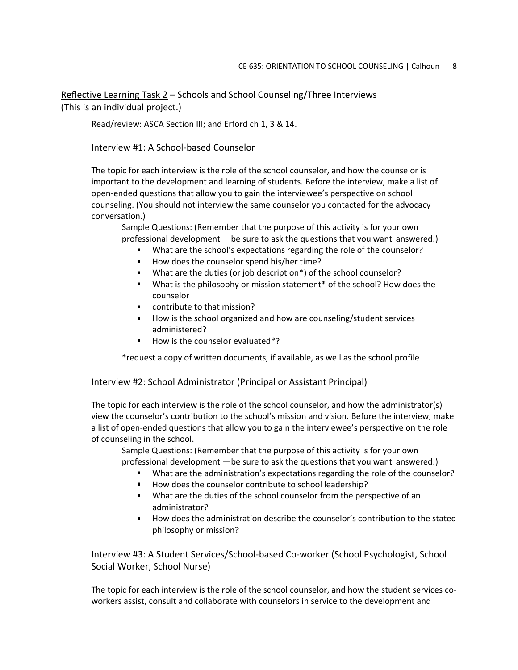Reflective Learning Task 2 – Schools and School Counseling/Three Interviews (This is an individual project.)

Read/review: ASCA Section III; and Erford ch 1, 3 & 14.

### Interview #1: A School-based Counselor

The topic for each interview is the role of the school counselor, and how the counselor is important to the development and learning of students. Before the interview, make a list of open-ended questions that allow you to gain the interviewee's perspective on school counseling. (You should not interview the same counselor you contacted for the advocacy conversation.)

Sample Questions: (Remember that the purpose of this activity is for your own professional development —be sure to ask the questions that you want answered.)

- What are the school's expectations regarding the role of the counselor?
- How does the counselor spend his/her time?
- What are the duties (or job description\*) of the school counselor?
- **What is the philosophy or mission statement\* of the school? How does the** counselor
- contribute to that mission?
- How is the school organized and how are counseling/student services administered?
- How is the counselor evaluated\*?

\*request a copy of written documents, if available, as well as the school profile

Interview #2: School Administrator (Principal or Assistant Principal)

The topic for each interview is the role of the school counselor, and how the administrator(s) view the counselor's contribution to the school's mission and vision. Before the interview, make a list of open-ended questions that allow you to gain the interviewee's perspective on the role of counseling in the school.

Sample Questions: (Remember that the purpose of this activity is for your own professional development —be sure to ask the questions that you want answered.)

- What are the administration's expectations regarding the role of the counselor?
- How does the counselor contribute to school leadership?
- What are the duties of the school counselor from the perspective of an administrator?
- How does the administration describe the counselor's contribution to the stated philosophy or mission?

Interview #3: A Student Services/School-based Co-worker (School Psychologist, School Social Worker, School Nurse)

The topic for each interview is the role of the school counselor, and how the student services coworkers assist, consult and collaborate with counselors in service to the development and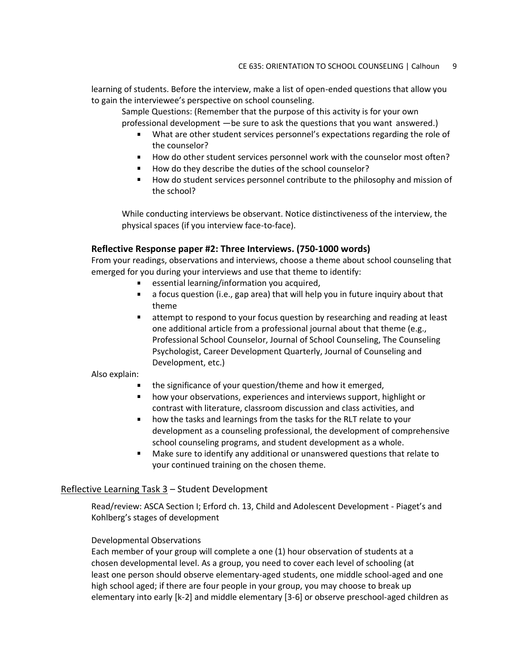learning of students. Before the interview, make a list of open-ended questions that allow you to gain the interviewee's perspective on school counseling.

Sample Questions: (Remember that the purpose of this activity is for your own professional development —be sure to ask the questions that you want answered.)

- What are other student services personnel's expectations regarding the role of the counselor?
- How do other student services personnel work with the counselor most often?
- How do they describe the duties of the school counselor?
- How do student services personnel contribute to the philosophy and mission of the school?

While conducting interviews be observant. Notice distinctiveness of the interview, the physical spaces (if you interview face-to-face).

#### **Reflective Response paper #2: Three Interviews. (750-1000 words)**

From your readings, observations and interviews, choose a theme about school counseling that emerged for you during your interviews and use that theme to identify:

- **EXECTE:** essential learning/information you acquired,
- a focus question (i.e., gap area) that will help you in future inquiry about that theme
- attempt to respond to your focus question by researching and reading at least one additional article from a professional journal about that theme (e.g., Professional School Counselor, Journal of School Counseling, The Counseling Psychologist, Career Development Quarterly, Journal of Counseling and Development, etc.)

#### Also explain:

- the significance of your question/theme and how it emerged,
- how your observations, experiences and interviews support, highlight or contrast with literature, classroom discussion and class activities, and
- how the tasks and learnings from the tasks for the RLT relate to your development as a counseling professional, the development of comprehensive school counseling programs, and student development as a whole.
- Make sure to identify any additional or unanswered questions that relate to your continued training on the chosen theme.

#### Reflective Learning Task 3 – Student Development

Read/review: ASCA Section I; Erford ch. 13, Child and Adolescent Development - Piaget's and Kohlberg's stages of development

#### Developmental Observations

Each member of your group will complete a one (1) hour observation of students at a chosen developmental level. As a group, you need to cover each level of schooling (at least one person should observe elementary-aged students, one middle school-aged and one high school aged; if there are four people in your group, you may choose to break up elementary into early [k-2] and middle elementary [3-6] or observe preschool-aged children as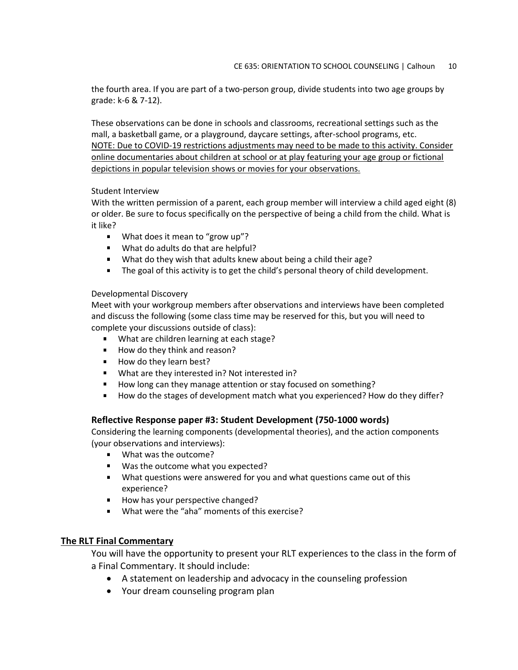the fourth area. If you are part of a two-person group, divide students into two age groups by grade: k-6 & 7-12).

These observations can be done in schools and classrooms, recreational settings such as the mall, a basketball game, or a playground, daycare settings, after-school programs, etc. NOTE: Due to COVID-19 restrictions adjustments may need to be made to this activity. Consider online documentaries about children at school or at play featuring your age group or fictional depictions in popular television shows or movies for your observations.

#### Student Interview

With the written permission of a parent, each group member will interview a child aged eight (8) or older. Be sure to focus specifically on the perspective of being a child from the child. What is it like?

- **What does it mean to "grow up"?**
- What do adults do that are helpful?
- What do they wish that adults knew about being a child their age?
- The goal of this activity is to get the child's personal theory of child development.

#### Developmental Discovery

Meet with your workgroup members after observations and interviews have been completed and discuss the following (some class time may be reserved for this, but you will need to complete your discussions outside of class):

- What are children learning at each stage?
- How do they think and reason?
- How do they learn best?
- What are they interested in? Not interested in?
- How long can they manage attention or stay focused on something?
- How do the stages of development match what you experienced? How do they differ?

#### **Reflective Response paper #3: Student Development (750-1000 words)**

Considering the learning components (developmental theories), and the action components (your observations and interviews):

- **What was the outcome?**
- **Was the outcome what you expected?**
- What questions were answered for you and what questions came out of this experience?
- How has your perspective changed?
- What were the "aha" moments of this exercise?

### **The RLT Final Commentary**

You will have the opportunity to present your RLT experiences to the class in the form of a Final Commentary. It should include:

- A statement on leadership and advocacy in the counseling profession
- Your dream counseling program plan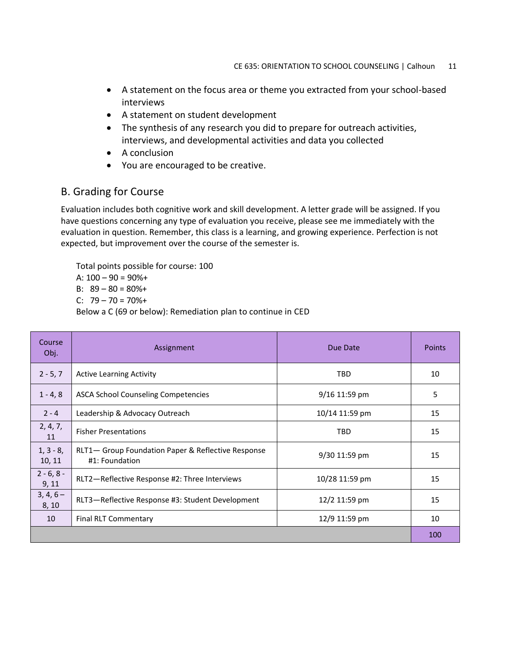- A statement on the focus area or theme you extracted from your school-based interviews
- A statement on student development
- The synthesis of any research you did to prepare for outreach activities, interviews, and developmental activities and data you collected
- A conclusion
- You are encouraged to be creative.

# B. Grading for Course

Evaluation includes both cognitive work and skill development. A letter grade will be assigned. If you have questions concerning any type of evaluation you receive, please see me immediately with the evaluation in question. Remember, this class is a learning, and growing experience. Perfection is not expected, but improvement over the course of the semester is.

Total points possible for course: 100

A:  $100 - 90 = 90\% +$ 

B:  $89 - 80 = 80\% +$ 

C:  $79 - 70 = 70\% +$ 

Below a C (69 or below): Remediation plan to continue in CED

| Course<br>Obj.        | Assignment                                                           | Due Date       | <b>Points</b> |
|-----------------------|----------------------------------------------------------------------|----------------|---------------|
| $2 - 5, 7$            | <b>Active Learning Activity</b>                                      | <b>TBD</b>     | 10            |
| $1 - 4, 8$            | <b>ASCA School Counseling Competencies</b>                           | 9/16 11:59 pm  | 5             |
| $2 - 4$               | Leadership & Advocacy Outreach                                       | 10/14 11:59 pm | 15            |
| 2, 4, 7,<br>11        | <b>Fisher Presentations</b>                                          | <b>TBD</b>     | 15            |
| $1, 3 - 8,$<br>10, 11 | RLT1- Group Foundation Paper & Reflective Response<br>#1: Foundation | 9/30 11:59 pm  | 15            |
| $2 - 6, 8 -$<br>9, 11 | RLT2-Reflective Response #2: Three Interviews                        | 10/28 11:59 pm | 15            |
| $3, 4, 6-$<br>8, 10   | RLT3-Reflective Response #3: Student Development                     | 12/2 11:59 pm  | 15            |
| 10                    | Final RLT Commentary                                                 | 12/9 11:59 pm  | 10            |
|                       |                                                                      |                | 100           |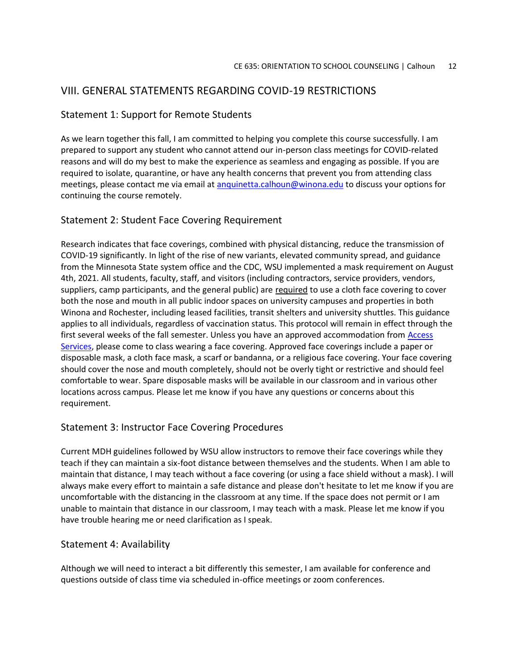## VIII. GENERAL STATEMENTS REGARDING COVID-19 RESTRICTIONS

### Statement 1: Support for Remote Students

As we learn together this fall, I am committed to helping you complete this course successfully. I am prepared to support any student who cannot attend our in-person class meetings for COVID-related reasons and will do my best to make the experience as seamless and engaging as possible. If you are required to isolate, quarantine, or have any health concerns that prevent you from attending class meetings, please contact me via email at [anquinetta.calhoun@winona.edu](mailto:anquinetta.calhoun@winona.edu) to discuss your options for continuing the course remotely.

### Statement 2: Student Face Covering Requirement

Research indicates that face coverings, combined with physical distancing, reduce the transmission of COVID-19 significantly. In light of the rise of new variants, elevated community spread, and guidance from the Minnesota State system office and the CDC, WSU implemented a mask requirement on August 4th, 2021. All students, faculty, staff, and visitors (including contractors, service providers, vendors, suppliers, camp participants, and the general public) are required to use a cloth face covering to cover both the nose and mouth in all public indoor spaces on university campuses and properties in both Winona and Rochester, including leased facilities, transit shelters and university shuttles. This guidance applies to all individuals, regardless of vaccination status. This protocol will remain in effect through the first several weeks of the fall semester. Unless you have an approved accommodation from Access [Services,](https://www.winona.edu/accessservices/) please come to class wearing a face covering. Approved face coverings include a paper or disposable mask, a cloth face mask, a scarf or bandanna, or a religious face covering. Your face covering should cover the nose and mouth completely, should not be overly tight or restrictive and should feel comfortable to wear. Spare disposable masks will be available in our classroom and in various other locations across campus. Please let me know if you have any questions or concerns about this requirement.

### Statement 3: Instructor Face Covering Procedures

Current MDH guidelines followed by WSU allow instructors to remove their face coverings while they teach if they can maintain a six-foot distance between themselves and the students. When I am able to maintain that distance, I may teach without a face covering (or using a face shield without a mask). I will always make every effort to maintain a safe distance and please don't hesitate to let me know if you are uncomfortable with the distancing in the classroom at any time. If the space does not permit or I am unable to maintain that distance in our classroom, I may teach with a mask. Please let me know if you have trouble hearing me or need clarification as I speak.

### Statement 4: Availability

Although we will need to interact a bit differently this semester, I am available for conference and questions outside of class time via scheduled in-office meetings or zoom conferences.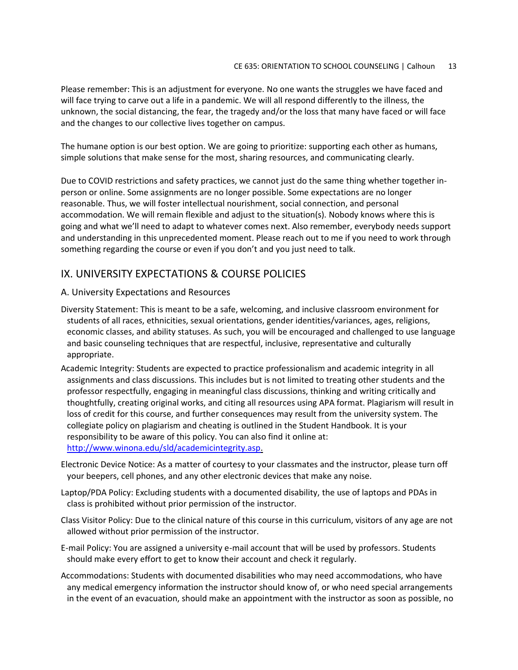Please remember: This is an adjustment for everyone. No one wants the struggles we have faced and will face trying to carve out a life in a pandemic. We will all respond differently to the illness, the unknown, the social distancing, the fear, the tragedy and/or the loss that many have faced or will face and the changes to our collective lives together on campus.

The humane option is our best option. We are going to prioritize: supporting each other as humans, simple solutions that make sense for the most, sharing resources, and communicating clearly.

Due to COVID restrictions and safety practices, we cannot just do the same thing whether together inperson or online. Some assignments are no longer possible. Some expectations are no longer reasonable. Thus, we will foster intellectual nourishment, social connection, and personal accommodation. We will remain flexible and adjust to the situation(s). Nobody knows where this is going and what we'll need to adapt to whatever comes next. Also remember, everybody needs support and understanding in this unprecedented moment. Please reach out to me if you need to work through something regarding the course or even if you don't and you just need to talk.

# IX. UNIVERSITY EXPECTATIONS & COURSE POLICIES

### A. University Expectations and Resources

- Diversity Statement: This is meant to be a safe, welcoming, and inclusive classroom environment for students of all races, ethnicities, sexual orientations, gender identities/variances, ages, religions, economic classes, and ability statuses. As such, you will be encouraged and challenged to use language and basic counseling techniques that are respectful, inclusive, representative and culturally appropriate.
- Academic Integrity: Students are expected to practice professionalism and academic integrity in all assignments and class discussions. This includes but is not limited to treating other students and the professor respectfully, engaging in meaningful class discussions, thinking and writing critically and thoughtfully, creating original works, and citing all resources using APA format. Plagiarism will result in loss of credit for this course, and further consequences may result from the university system. The collegiate policy on plagiarism and cheating is outlined in the Student Handbook. It is your responsibility to be aware of this policy. You can also find it online at: [http://www.winona.edu/sld/academicintegrity.asp.](http://www.winona.edu/sld/academicintegrity.asp)
- Electronic Device Notice: As a matter of courtesy to your classmates and the instructor, please turn off your beepers, cell phones, and any other electronic devices that make any noise.
- Laptop/PDA Policy: Excluding students with a documented disability, the use of laptops and PDAs in class is prohibited without prior permission of the instructor.
- Class Visitor Policy: Due to the clinical nature of this course in this curriculum, visitors of any age are not allowed without prior permission of the instructor.
- E-mail Policy: You are assigned a university e-mail account that will be used by professors. Students should make every effort to get to know their account and check it regularly.
- Accommodations: Students with documented disabilities who may need accommodations, who have any medical emergency information the instructor should know of, or who need special arrangements in the event of an evacuation, should make an appointment with the instructor as soon as possible, no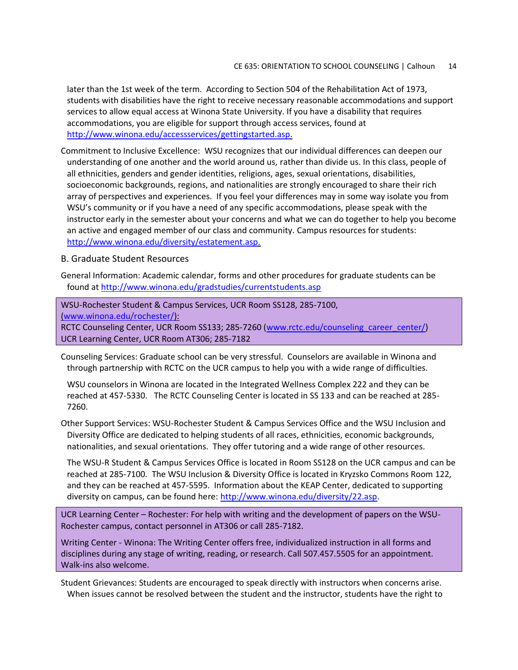later than the 1st week of the term. According to Section 504 of the Rehabilitation Act of 1973, students with disabilities have the right to receive necessary reasonable accommodations and support services to allow equal access at Winona State University. If you have a disability that requires accommodations, you are eligible for support through access services, found at [http://www.winona.edu/accessservices/gettingstarted.asp.](http://www.winona.edu/accessservices/gettingstarted.asp)

Commitment to Inclusive Excellence: WSU recognizes that our individual differences can deepen our understanding of one another and the world around us, rather than divide us. In this class, people of all ethnicities, genders and gender identities, religions, ages, sexual orientations, disabilities, socioeconomic backgrounds, regions, and nationalities are strongly encouraged to share their rich array of perspectives and experiences. If you feel your differences may in some way isolate you from WSU's community or if you have a need of any specific accommodations, please speak with the instructor early in the semester about your concerns and what we can do together to help you become an active and engaged member of our class and community. Campus resources for students: [http://www.winona.edu/diversity/estatement.asp.](http://www.winona.edu/diversity/estatement.asp)

#### B. Graduate Student Resources

General Information: Academic calendar, forms and other procedures for graduate students can be found at<http://www.winona.edu/gradstudies/currentstudents.asp>

WSU-Rochester Student & Campus Services, UCR Room SS128, 285-7100, [\(www.winona.edu/rochester/\)](http://www.winona.edu/rochester/):

RCTC Counseling Center, UCR Room SS133; 285-7260 [\(www.rctc.edu/counseling\\_career\\_center/\)](http://www.rctc.edu/counseling_career_center/) UCR Learning Center, UCR Room AT306; 285-7182

Counseling Services: Graduate school can be very stressful. Counselors are available in Winona and through partnership with RCTC on the UCR campus to help you with a wide range of difficulties.

WSU counselors in Winona are located in the Integrated Wellness Complex 222 and they can be reached at 457-5330. The RCTC Counseling Center is located in SS 133 and can be reached at 285- 7260.

Other Support Services: WSU-Rochester Student & Campus Services Office and the WSU Inclusion and Diversity Office are dedicated to helping students of all races, ethnicities, economic backgrounds, nationalities, and sexual orientations. They offer tutoring and a wide range of other resources.

The WSU-R Student & Campus Services Office is located in Room SS128 on the UCR campus and can be reached at 285-7100. The WSU Inclusion & Diversity Office is located in Kryzsko Commons Room 122, and they can be reached at 457-5595. Information about the KEAP Center, dedicated to supporting diversity on campus, can be found here: [http://www.winona.edu/diversity/22.asp.](http://www.winona.edu/diversity/22.asp)

UCR Learning Center – Rochester: For help with writing and the development of papers on the WSU-Rochester campus, contact personnel in AT306 or call 285-7182.

Writing Center - Winona: The Writing Center offers free, individualized instruction in all forms and disciplines during any stage of writing, reading, or research. Call 507.457.5505 for an appointment. Walk-ins also welcome.

Student Grievances: Students are encouraged to speak directly with instructors when concerns arise. When issues cannot be resolved between the student and the instructor, students have the right to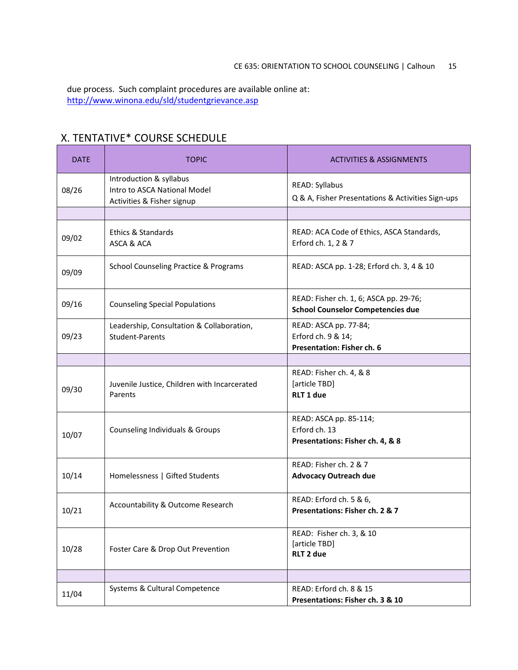due process. Such complaint procedures are available online at: <http://www.winona.edu/sld/studentgrievance.asp>

# X. TENTATIVE\* COURSE SCHEDULE

| <b>DATE</b> | <b>TOPIC</b>                                                                          | <b>ACTIVITIES &amp; ASSIGNMENTS</b>                                                |
|-------------|---------------------------------------------------------------------------------------|------------------------------------------------------------------------------------|
| 08/26       | Introduction & syllabus<br>Intro to ASCA National Model<br>Activities & Fisher signup | <b>READ: Syllabus</b><br>Q & A, Fisher Presentations & Activities Sign-ups         |
|             |                                                                                       |                                                                                    |
| 09/02       | Ethics & Standards<br>ASCA & ACA                                                      | READ: ACA Code of Ethics, ASCA Standards,<br>Erford ch. 1, 2 & 7                   |
| 09/09       | <b>School Counseling Practice &amp; Programs</b>                                      | READ: ASCA pp. 1-28; Erford ch. 3, 4 & 10                                          |
| 09/16       | <b>Counseling Special Populations</b>                                                 | READ: Fisher ch. 1, 6; ASCA pp. 29-76;<br><b>School Counselor Competencies due</b> |
| 09/23       | Leadership, Consultation & Collaboration,<br>Student-Parents                          | READ: ASCA pp. 77-84;<br>Erford ch. 9 & 14;<br>Presentation: Fisher ch. 6          |
|             |                                                                                       |                                                                                    |
| 09/30       | Juvenile Justice, Children with Incarcerated<br>Parents                               | READ: Fisher ch. 4, & 8<br>[article TBD]<br>RLT 1 due                              |
| 10/07       | Counseling Individuals & Groups                                                       | READ: ASCA pp. 85-114;<br>Erford ch. 13<br>Presentations: Fisher ch. 4, & 8        |
| 10/14       | Homelessness   Gifted Students                                                        | READ: Fisher ch. 2 & 7<br><b>Advocacy Outreach due</b>                             |
| 10/21       | Accountability & Outcome Research                                                     | READ: Erford ch. 5 & 6,<br>Presentations: Fisher ch. 2 & 7                         |
| 10/28       | Foster Care & Drop Out Prevention                                                     | READ: Fisher ch. 3, & 10<br>[article TBD]<br>RLT 2 due                             |
|             |                                                                                       |                                                                                    |
| 11/04       | Systems & Cultural Competence                                                         | READ: Erford ch. 8 & 15<br>Presentations: Fisher ch. 3 & 10                        |